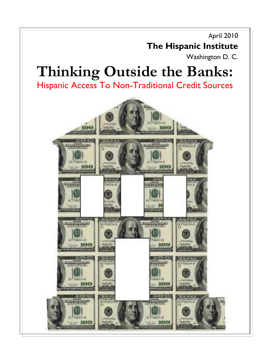April 2010 **The Hispanic Institute**

Washington D. C.

# **Thinking Outside the Banks:**

Hispanic Access To Non-Traditional Credit Sources

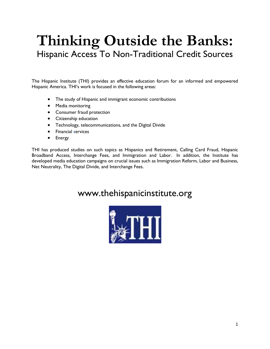## **Thinking Outside the Banks:** Hispanic Access To Non-Traditional Credit Sources

The Hispanic Institute (THI) provides an effective education forum for an informed and empowered Hispanic America. THI's work is focused in the following areas:

- The study of Hispanic and immigrant economic contributions
- Media monitoring
- Consumer fraud protection
- Citizenship education
- Technology, telecommunications, and the Digital Divide
- **•** Financial services
- Energy

THI has produced studies on such topics as Hispanics and Retirement, Calling Card Fraud, Hispanic Broadband Access, Interchange Fees, and Immigration and Labor. In addition, the Institute has developed media education campaigns on crucial issues such as Immigration Reform, Labor and Business, Net Neutrality, The Digital Divide, and Interchange Fees.

### www.thehispanicinstitute.org

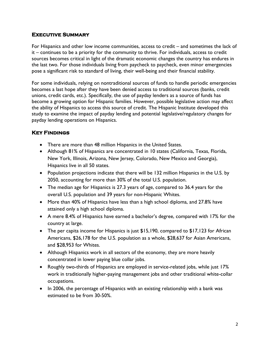#### **Executive Summary**

For Hispanics and other low income communities, access to credit – and sometimes the lack of it – continues to be a priority for the community to thrive. For individuals, access to credit sources becomes critical in light of the dramatic economic changes the country has endures in the last two. For those individuals living from paycheck to paycheck, even minor emergencies pose a significant risk to standard of living, their well-being and their financial stability.

For some individuals, relying on nontraditional sources of funds to handle periodic emergencies becomes a last hope after they have been denied access to traditional sources (banks, credit unions, credit cards, etc.). Specifically, the use of payday lenders as a source of funds has become a growing option for Hispanic families. However, possible legislative action may affect the ability of Hispanics to access this source of credit. The Hispanic Institute developed this study to examine the impact of payday lending and potential legislative/regulatory changes for payday lending operations on Hispanics.

#### **Key Findings**

- There are more than 48 million Hispanics in the United States.
- Although 81% of Hispanics are concentrated in 10 states (California, Texas, Florida, New York, Illinois, Arizona, New Jersey, Colorado, New Mexico and Georgia), Hispanics live in all 50 states.
- Population projections indicate that there will be 132 million Hispanics in the U.S. by 2050, accounting for more than 30% of the total U.S. population.
- The median age for Hispanics is 27.3 years of age, compared to 36.4 years for the overall U.S. population and 39 years for non-Hispanic Whites.
- More than 40% of Hispanics have less than a high school diploma, and 27.8% have attained only a high school diploma.
- A mere 8.4% of Hispanics have earned a bachelor's degree, compared with 17% for the country at large.
- The per capita income for Hispanics is just \$15,190, compared to \$17,123 for African Americans, \$26,178 for the U.S. population as a whole, \$28,637 for Asian Americans, and \$28,953 for Whites.
- Although Hispanics work in all sectors of the economy, they are more heavily concentrated in lower paying blue collar jobs.
- Roughly two-thirds of Hispanics are employed in service-related jobs, while just 17% work in traditionally higher-paying management jobs and other traditional white-collar occupations.
- In 2006, the percentage of Hispanics with an existing relationship with a bank was estimated to be from 30-50%.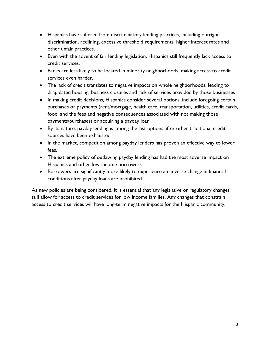- Hispanics have suffered from discriminatory lending practices, including outright discrimination, redlining, excessive threshold requirements, higher interest rates and other unfair practices.
- Even with the advent of fair lending legislation, Hispanics still frequently lack access to credit services.
- Banks are less likely to be located in minority neighborhoods, making access to credit services even harder.
- The lack of credit translates to negative impacts on whole neighborhoods, leading to dilapidated housing, business closures and lack of services provided by those businesses
- In making credit decisions, Hispanics consider several options, include foregoing certain purchases or payments (rent/mortgage, health care, transportation, utilities, credit cards, food, and the fees and negative consequences associated with not making those payments/purchases) or acquiring a payday loan.
- By its nature, payday lending is among the last options after other traditional credit sources have been exhausted.
- In the market, competition among payday lenders has proven an effective way to lower fees.
- The extreme policy of outlawing payday lending has had the most adverse impact on Hispanics and other low-income borrowers.
- Borrowers are significantly more likely to experience an adverse change in financial conditions after payday loans are prohibited.

As new policies are being considered, it is essential that any legislative or regulatory changes still allow for access to credit services for low income families. Any changes that constrain access to credit services will have long-term negative impacts for the Hispanic community.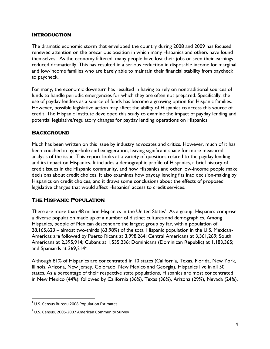#### **Introduction**

The dramatic economic storm that enveloped the country during 2008 and 2009 has focused renewed attention on the precarious position in which many Hispanics and others have found themselves. As the economy faltered, many people have lost their jobs or seen their earnings reduced dramatically. This has resulted in a serious reduction in disposable income for marginal and low-income families who are barely able to maintain their financial stability from paycheck to paycheck.

For many, the economic downturn has resulted in having to rely on nontraditional sources of funds to handle periodic emergencies for which they are often not prepared. Specifically, the use of payday lenders as a source of funds has become a growing option for Hispanic families. However, possible legislative action may affect the ability of Hispanics to access this source of credit. The Hispanic Institute developed this study to examine the impact of payday lending and potential legislative/regulatory changes for payday lending operations on Hispanics.

#### **Background**

Much has been written on this issue by industry advocates and critics. However, much of it has been couched in hyperbole and exaggeration, leaving significant space for more measured analysis of the issue. This report looks at a variety of questions related to the payday lending and its impact on Hispanics. It includes a demographic profile of Hispanics, a brief history of credit issues in the Hispanic community, and how Hispanics and other low-income people make decisions about credit choices. It also examines how payday lending fits into decision-making by Hispanics on credit choices, and it draws some conclusions about the effects of proposed legislative changes that would affect Hispanics' access to credit services.

#### **The Hispanic Population**

There are more than 48 million Hispanics in the United States<sup>1</sup>. As a group, Hispanics comprise a diverse population made up of a number of distinct cultures and demographics. Among Hispanics, people of Mexican descent are the largest group by far, with a population of 28,165,623 – almost two-thirds (63.98%) of the total Hispanic population in the U.S. Mexican-Americas are followed by Puerto Ricans at 3,998,264; Central Americans at 3,361,269; South Americans at 2,395,914; Cubans at 1,535,236; Dominicans (Dominican Republic) at 1,183,365; and Spaniards at 369,214 $^{\rm 2}.$ 

Although 81% of Hispanics are concentrated in 10 states (California, Texas, Florida, New York, Illinois, Arizona, New Jersey, Colorado, New Mexico and Georgia), Hispanics live in all 50 states. As a percentage of their respective state populations, Hispanics are most concentrated in New Mexico (44%), followed by California (36%), Texas (36%), Arizona (29%), Nevada (24%),

 $<sup>1</sup>$  U.S. Census Bureau 2008 Population Estimates</sup>

<sup>&</sup>lt;sup>2</sup> U.S. Census, 2005-2007 American Community Survey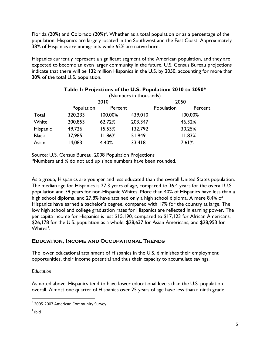Florida (20%) and Colorado (20%)<sup>3</sup>. Whether as a total population or as a percentage of the population, Hispanics are largely located in the Southwest and the East Coast. Approximately 38% of Hispanics are immigrants while 62% are native born.

Hispanics currently represent a significant segment of the American population, and they are expected to become an even larger community in the future. U.S. Census Bureau projections indicate that there will be 132 million Hispanics in the U.S. by 2050, accounting for more than 30% of the total U.S. population.

|              | Table 1: Projections of the U.S. Population: 2010 to 2050*<br>(Numbers in thousands) |         |         |            |         |  |  |  |
|--------------|--------------------------------------------------------------------------------------|---------|---------|------------|---------|--|--|--|
|              | 2010                                                                                 |         |         | 2050       |         |  |  |  |
|              | Population                                                                           | Percent |         | Population | Percent |  |  |  |
| Total        | 320,233                                                                              | 100.00% | 439,010 |            | 100.00% |  |  |  |
| White        | 200,853                                                                              | 62.72%  | 203,347 | 46.32%     |         |  |  |  |
| Hispanic     | 49,726                                                                               | 15.53%  | 132,792 |            | 30.25%  |  |  |  |
| <b>Black</b> | 37,985                                                                               | 11.86%  | 51,949  | 11.83%     |         |  |  |  |
| Asian        | 14,083                                                                               | 4.40%   | 33,418  |            | 7.61%   |  |  |  |

Source: U.S. Census Bureau, 2008 Population Projections

\*Numbers and % do not add up since numbers have been rounded.

As a group, Hispanics are younger and less educated than the overall United States population. The median age for Hispanics is 27.3 years of age, compared to 36.4 years for the overall U.S. population and 39 years for non-Hispanic Whites. More than 40% of Hispanics have less than a high school diploma, and 27.8% have attained only a high school diploma. A mere 8.4% of Hispanics have earned a bachelor's degree, compared with 17% for the country at large. The low high school and college graduation rates for Hispanics are reflected in earning power. The per capita income for Hispanics is just \$15,190, compared to \$17,123 for African Americans, \$26,178 for the U.S. population as a whole, \$28,637 for Asian Americans, and \$28,953 for Whites<sup>4</sup>.

#### **Education, Income and Occupational Trends**

The lower educational attainment of Hispanics in the U.S. diminishes their employment opportunities, their income potential and thus their capacity to accumulate savings.

#### *Education*

As noted above, Hispanics tend to have lower educational levels than the U.S. population overall. Almost one quarter of Hispanics over 25 years of age have less than a ninth grade

<sup>&</sup>lt;sup>3</sup> 2005-2007 American Community Survey

<sup>4</sup> Ibid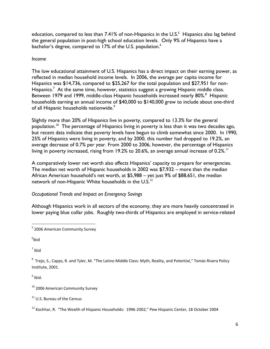education, compared to less than 7.41% of non-Hispanics in the U.S. $^5$  Hispanics also lag behind the general population in post-high school education levels. Only 9% of Hispanics have a bachelor's degree, compared to 17% of the U.S. population.<sup>6</sup>

#### *Income*

The low educational attainment of U.S. Hispanics has a direct impact on their earning power, as reflected in median household income levels. In 2006, the average per capita income for Hispanics was \$14,736, compared to \$25,267 for the total population and \$27,951 for non-Hispanics.<sup>7</sup> At the same time, however, statistics suggest a growing Hispanic middle class. Between 1979 and 1999, middle-class Hispanic households increased nearly 80%.<sup>8</sup> Hispanic households earning an annual income of \$40,000 to \$140,000 grew to include about one-third of all Hispanic households nationwide. $^{\circ}$ 

Slightly more than 20% of Hispanics live in poverty, compared to 13.3% for the general population.<sup>10</sup> The percentage of Hispanics living in poverty is less than it was two decades ago, but recent data indicate that poverty levels have begun to climb somewhat since 2000. In 1990, 25% of Hispanics were living in poverty, and by 2000, this number had dropped to 19.2%, an average decrease of 0.7% per year. From 2000 to 2006, however, the percentage of Hispanics living in poverty increased, rising from 19.2% to 20.6%, an average annual increase of 0.2%.<sup>11</sup>

A comparatively lower net worth also affects Hispanics' capacity to prepare for emergencies. The median net worth of Hispanic households in 2002 was \$7,932 – more than the median African American household's net worth, at \$5,988 – yet just 9% of \$88,651, the median network of non-Hispanic White households in the U.S. $^{\text{12}}$ 

#### *Occupational Trends and Impact on Emergency Savings*

Although Hispanics work in all sectors of the economy, they are more heavily concentrated in lower paying blue collar jobs. Roughly two-thirds of Hispanics are employed in service-related

 $^6$ Ibid

7 Ibid

 $^8$  Trejo, S., Capps, R. and Tyler, M. "The Latino Middle Class: Myth, Reality, and Potential," Tomás Rivera Policy Institute, 2001.

<sup>9</sup> Ibid.

<sup>10</sup> 2006 American Community Survey

 $11$  U.S. Bureau of the Census

 5 2006 American Community Survey

<sup>12</sup> Kochhar, R. "The Wealth of Hispanic Households: 1996-2002," Pew Hispanic Center, 18 October 2004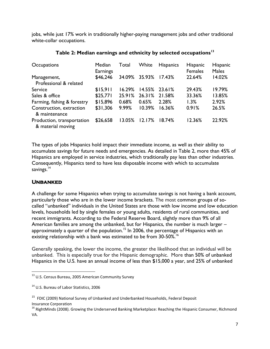jobs, while just 17% work in traditionally higher-paying management jobs and other traditional white-collar occupations.

| Median<br>Earnings | Total  | White  | <b>Hispanics</b> | <b>Hispanic</b><br><b>Females</b> | Hispanic<br><b>Males</b> |
|--------------------|--------|--------|------------------|-----------------------------------|--------------------------|
| \$46,246           | 34.09% |        | 17.43%           | 22.64%                            | 14.02%                   |
| \$15,911           | 16.29% |        |                  | 29.43%                            | 19.79%                   |
| \$25,771           | 25.91% |        | 21.58%           | 33.36%                            | 13.85%                   |
| \$15,896           | 0.68%  | 0.65%  | 2.28%            | 1.3%                              | 2.92%                    |
| \$31,306           | 9.99%  | 10.39% | 16.36%           | 0.91%                             | 26.5%                    |
| \$26,658           | 13.05% | 12.17% | 18.74%           | 12.36%                            | 22.92%                   |
|                    |        |        | 35.93%           | 14.55% 23.61%<br>26.31%           |                          |

#### **Table 2: Median earnings and ethnicity by selected occupations<sup>13</sup>**

The types of jobs Hispanics hold impact their immediate income, as well as their ability to accumulate savings for future needs and emergencies. As detailed in Table 2, more than 45% of Hispanics are employed in service industries, which traditionally pay less than other industries. Consequently, Hispanics tend to have less disposable income with which to accumulate savings.<sup>14</sup>

#### **UNBANKED**

 $\overline{\phantom{a}}$ 

A challenge for some Hispanics when trying to accumulate savings is not having a bank account, particularly those who are in the lower income brackets. The most common groups of socalled "unbanked" individuals in the United States are those with low income and low education levels, households led by single females or young adults, residents of rural communities, and recent immigrants. According to the Federal Reserve Board, slightly more than 9% of all American families are among the unbanked, but for Hispanics, the number is much larger – approximately a quarter of the population.<sup>15</sup> In 2006, the percentage of Hispanics with an existing relationship with a bank was estimated to be from 30-50%.<sup>16</sup>

Generally speaking, the lower the income, the greater the likelihood that an individual will be unbanked. This is especially true for the Hispanic demographic. More than 50% of unbanked Hispanics in the U.S. have an annual income of less than \$15,000 a year, and 25% of unbanked

<sup>&</sup>lt;sup>13</sup> U.S. Census Bureau, 2005 American Community Survey

<sup>14</sup> U.S. Bureau of Labor Statistics, 2006

<sup>&</sup>lt;sup>15</sup> FDIC (2009) National Survey of Unbanked and Underbanked Households, Federal Deposit Insurance Corporation

<sup>&</sup>lt;sup>16</sup> RightMinds (2008). Growing the Underserved Banking Marketplace: Reaching the Hispanic Consumer, Richmond VA.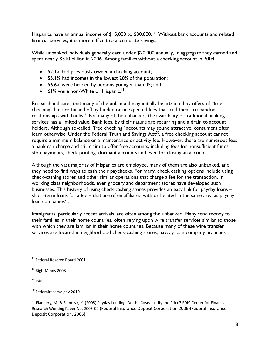Hispanics have an annual income of  $$15,000$  to  $$30,000.<sup>17</sup>$  Without bank accounts and related financial services, it is more difficult to accumulate savings.

While unbanked individuals generally earn under \$20,000 annually, in aggregate they earned and spent nearly \$510 billion in 2006. Among families without a checking account in 2004:

- 52.1% had previously owned a checking account;
- 55.1% had incomes in the lowest 20% of the population;
- 56.6% were headed by persons younger than 45; and
- 61% were non-White or Hispanic.<sup>18</sup>

Research indicates that many of the unbanked may initially be attracted by offers of "free checking" but are turned off by hidden or unexpected fees that lead them to abandon relationships with banks<sup>19</sup>. For many of the unbanked, the availability of traditional banking services has a limited value. Bank fees, by their nature are recurring and a drain to account holders. Although so-called "free checking" accounts may sound attractive, consumers often learn otherwise. Under the Federal Truth and Savings  $Act^{20}$ , a free checking account cannot require a minimum balance or a maintenance or activity fee. However, there are numerous fees a bank can charge and still claim to offer free accounts, including fees for nonsufficient funds, stop payments, check printing, dormant accounts and even for closing an account.

Although the vast majority of Hispanics are employed, many of them are also unbanked, and they need to find ways to cash their paychecks. For many, check cashing options include using check-cashing stores and other similar operations that charge a fee for the transaction. In working class neighborhoods, even grocery and department stores have developed such businesses. This history of using check-cashing stores provides an easy link for payday loans – short-term loans for a fee – that are often affiliated with or located in the same area as payday loan companies<sup>21</sup>.

Immigrants, particularly recent arrivals, are often among the unbanked. Many send money to their families in their home countries, often relying upon wire transfer services similar to those with which they are familiar in their home countries. Because many of these wire transfer services are located in neighborhood check-cashing stores, payday loan company branches,

 $19$  Ibid

l

<sup>20</sup> Federalreserve.gov 2010

<sup>21</sup> Flannery, M. & Samolyk, K. (2005) Payday Lending: Do the Costs Justify the Price? FDIC Center for Financial Research Working Paper No. 2005-09.(Federal Insurance Deposit Corporation 2006)(Federal Insurance Deposit Corporation, 2006)

<sup>&</sup>lt;sup>17</sup> Federal Reserve Board 2001

<sup>18</sup> RightMinds 2008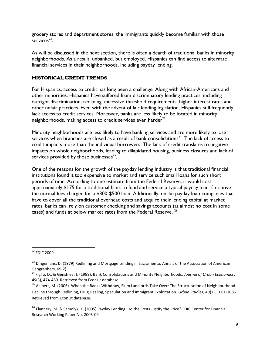grocery stores and department stores, the immigrants quickly become familiar with those services<sup>22</sup>.

As will be discussed in the next section, there is often a dearth of traditional banks in minority neighborhoods. As a result, unbanked, but employed, Hispanics can find access to alternate financial services in their neighborhoods, including payday lending.

#### **Historical Credit Trends**

For Hispanics, access to credit has long been a challenge. Along with African-Americans and other minorities, Hispanics have suffered from discriminatory lending practices, including outright discrimination, redlining, excessive threshold requirements, higher interest rates and other unfair practices. Even with the advent of fair lending legislation, Hispanics still frequently lack access to credit services. Moreover, banks are less likely to be located in minority neighborhoods, making access to credit services even harder $^{23}$ .

Minority neighborhoods are less likely to have banking services and are more likely to lose services when branches are closed as a result of bank consolidations $^{24}$ . The lack of access to credit impacts more than the individual borrowers. The lack of credit translates to negative impacts on whole neighborhoods, leading to dilapidated housing, business closures and lack of services provided by those businesses $^{25}$ .

One of the reasons for the growth of the payday lending industry is that traditional financial institutions found it too expensive to market and service such small loans for such short periods of time. According to one estimate from the Federal Reserve, it would cost approximately \$175 for a traditional bank to fund and service a typical payday loan, far above the normal fees charged for a \$300-\$500 loan. Additionally, unlike payday loan companies that have to cover all the traditional overhead costs and acquire their lending capital at market rates, banks can rely on customer checking and savings accounts (at almost no cost in some cases) and funds at below market rates from the Federal Reserve.<sup>26</sup>

 $\overline{a}$  $^{22}$  FDIC 2009.

<sup>&</sup>lt;sup>23</sup> Dingemans, D. (1979) Redlining and Mortgage Lending in Sacramento. Annals of the Association of American Geographers, 69(2).

<sup>24</sup> Figlio, D., & Genshlea, J. (1999). Bank Consolidations and Minority Neighborhoods. *Journal of Urban Economics*, *45*(3), 474-489. Retrieved from EconLit database.

<sup>&</sup>lt;sup>25</sup> Aalbers, M. (2006). When the Banks Withdraw, Slum Landlords Take Over: The Structuration of Neighbourhood Decline through Redlining, Drug Dealing, Speculation and Immigrant Exploitation. *Urban Studies*, *43*(7), 1061-1086. Retrieved from EconLit database.

<sup>&</sup>lt;sup>26</sup> Flannery, M. & Samolyk, K. (2005) Payday Lending: Do the Costs Justify the Price? FDIC Center for Financial Research Working Paper No. 2005-09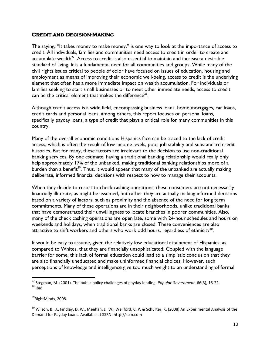#### **Credit and Decision-Making**

The saying, "It takes money to make money," is one way to look at the importance of access to credit. All individuals, families and communities need access to credit in order to create and accumulate wealth<sup>27</sup>. Access to credit is also essential to maintain and increase a desirable standard of living. It is a fundamental need for all communities and groups. While many of the civil rights issues critical to people of color have focused on issues of education, housing and employment as means of improving their economic well-being, access to credit is the underlying element that often has a more immediate impact on wealth accumulation. For individuals or families seeking to start small businesses or to meet other immediate needs, access to credit can be the critical element that makes the difference<sup>28</sup>.

Although credit access is a wide field, encompassing business loans, home mortgages, car loans, credit cards and personal loans, among others, this report focuses on personal loans, specifically payday loans, a type of credit that plays a critical role for many communities in this country.

Many of the overall economic conditions Hispanics face can be traced to the lack of credit access, which is often the result of low income levels, poor job stability and substandard credit histories. But for many, these factors are irrelevant to the decision to use non-traditional banking services. By one estimate, having a traditional banking relationship would really only help approximately 17% of the unbanked, making traditional banking relationships more of a burden than a benefit<sup>29</sup>. Thus, it would appear that many of the unbanked are actually making deliberate, informed financial decisions with respect to how to manage their accounts.

When they decide to resort to check cashing operations, these consumers are not necessarily financially illiterate, as might be assumed, but rather they are actually making informed decisions based on a variety of factors, such as proximity and the absence of the need for long term commitments. Many of these operations are in their neighborhoods, unlike traditional banks that have demonstrated their unwillingness to locate branches in poorer communities. Also, many of the check cashing operations are open late, some with 24-hour schedules and hours on weekends and holidays, when traditional banks are closed. These conveniences are also attractive to shift workers and others who work odd hours, regardless of ethnicity $^{\text{30}}$ .

It would be easy to assume, given the relatively low educational attainment of Hispanics, as compared to Whites, that they are financially unsophisticated. Coupled with the language barrier for some, this lack of formal education could lead to a simplistic conclusion that they are also financially uneducated and make uninformed financial choices. However, such perceptions of knowledge and intelligence give too much weight to an understanding of formal

l

<sup>27</sup> Stegman, M. (2001). The public policy challenges of payday lending. *Popular Government*, 66(3), 16-22.  $28$  Ibid

 $^{29}$ RightMinds, 2008

 $30$  Wilson, B. J., Findlay, D. W., Meehan, J. W., Wellford, C. P. & Schurter, K, (2008) An Experimental Analysis of the Demand for Payday Loans. Available at SSRN: http://ssrn.com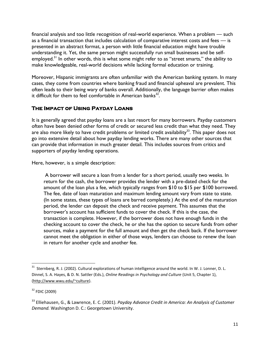financial analysis and too little recognition of real-world experience. When a problem — such as a financial transaction that includes calculation of comparative interest costs and fees — is presented in an abstract format, a person with little financial education might have trouble understanding it. Yet, the same person might successfully run small businesses and be selfemployed.<sup>31</sup> In other words, this is what some might refer to as "street smarts," the ability to make knowledgeable, real-world decisions while lacking formal education or training.

Moreover, Hispanic immigrants are often unfamiliar with the American banking system. In many cases, they come from countries where banking fraud and financial upheaval are prevalent. This often leads to their being wary of banks overall. Additionally, the language barrier often makes it difficult for them to feel comfortable in American banks<sup>32</sup>.

#### **The Impact of Using Payday Loans**

It is generally agreed that payday loans are a last resort for many borrowers. Payday customers often have been denied other forms of credit or secured less credit than what they need. They are also more likely to have credit problems or limited credit availability<sup>33</sup>. This paper does not go into extensive detail about how payday lending works. There are many other sources that can provide that information in much greater detail. This includes sources from critics and supporters of payday lending operations.

Here, however, is a simple description:

A borrower will secure a loan from a lender for a short period, usually two weeks. In return for the cash, the borrower provides the lender with a pre-dated check for the amount of the loan plus a fee, which typically ranges from \$10 to \$15 per \$100 borrowed. The fee, date of loan maturation and maximum lending amount vary from state to state. (In some states, these types of loans are barred completely.) At the end of the maturation period, the lender can deposit the check and receive payment. This assumes that the borrower's account has sufficient funds to cover the check. If this is the case, the transaction is complete. However, if the borrower does not have enough funds in the checking account to cover the check, he or she has the option to secure funds from other sources, make a payment for the full amount and then get the check back. If the borrower cannot meet the obligation in either of those ways, lenders can choose to renew the loan in return for another cycle and another fee.

 $\overline{a}$ 

 $31$  Sternberg, R. J. (2002). Cultural explorations of human intelligence around the world. In W. J. Lonner, D. L. Dinnel, S. A. Hayes, & D. N. Sattler (Eds.), *Online Readings in Psychology and Culture* (Unit 5, Chapter 1), [\(http://www.wwu.edu/~culture\)](http://ac.wwu.edu/~culture/index-cc.htm).

 $32$  FDIC (2009)

<sup>33</sup> Elliehausen, G., & Lawrence, E. C. (2001). *Payday Advance Credit in America: An Analysis of Customer Demand.* Washington D. C.: Georgetown University.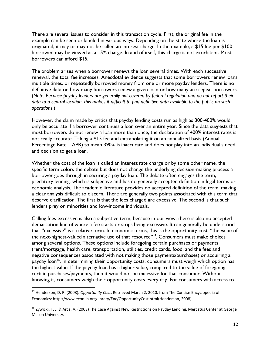There are several issues to consider in this transaction cycle. First, the original fee in the example can be seen or labeled in various ways. Depending on the state where the loan is originated, it may or may not be called an interest charge. In the example, a \$15 fee per \$100 borrowed may be viewed as a 15% charge. In and of itself, this charge is not exorbitant. Most borrowers can afford \$15.

The problem arises when a borrower renews the loan several times. With each successive renewal, the total fee increases. Anecdotal evidence suggests that some borrowers renew loans multiple times, or repeatedly borrowed money from one or more payday lenders. There is no definitive data on how many borrowers renew a given loan or how many are repeat borrowers. (*Note: Because payday lenders are generally not covered by federal regulation and do not report their data to a central location, this makes it difficult to find definitive data available to the public on such operations*.)

However, the claim made by critics that payday lending costs run as high as 300-400% would only be accurate if a borrower continues a loan over an entire year. Since the data suggests that most borrowers do not renew a loan more than once, the declaration of 400% interest rates is not really accurate. Taking a \$15 fee and extrapolating it on an annualized basis (Annual Percentage Rate—APR) to mean 390% is inaccurate and does not play into an individual's need and decision to get a loan.

Whether the cost of the loan is called an interest rate charge or by some other name, the specific term colors the debate but does not change the underlying decision-making process a borrower goes through in securing a payday loan. The debate often engages the term, predatory lending, which is subjective and has no generally accepted definition in legal terms or economic analysis. The academic literature provides no accepted definition of the term, making a clear analysis difficult to discern. There are generally two points associated with this term that deserve clarification. The first is that the fees charged are excessive. The second is that such lenders prey on minorities and low-income individuals.

Calling fees excessive is also a subjective term, because in our view, there is also no accepted demarcation line of where a fee starts or stops being excessive. It can generally be understood that "excessive" is a relative term. In economic terms, this is the opportunity cost, "the value of the next-highest-valued alternative use of that resource"<sup>34</sup>. Consumers must make choices among several options. These options include foregoing certain purchases or payments (rent/mortgage, health care, transportation, utilities, credit cards, food, and the fees and negative consequences associated with not making those payments/purchases) or acquiring a payday loan<sup>35</sup>. In determining their opportunity costs, consumers must weigh which option has the highest value. If the payday loan has a higher value, compared to the value of foregoing certain purchases/payments, then it would not be excessive for that consumer. Without knowing it, consumers weigh their opportunity costs every day. For consumers with access to

<sup>34</sup> Henderson, D. R. (2008). *Opportunity Cost*. Retrieved March 2, 2010, from The Concise Encyclopedia of Economics: http://www.econlib.org/library/Enc/OpportunityCost.html(Henderson, 2008)

<sup>&</sup>lt;sup>35</sup> Zywicki, T. J. & Arca, A, (2008) The Case Against New Restrictions on Payday Lending. Mercatus Center at George Mason University.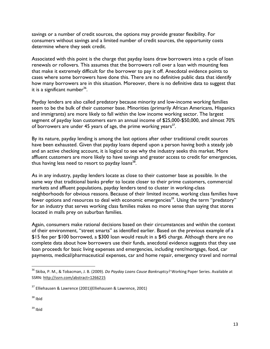savings or a number of credit sources, the options may provide greater flexibility. For consumers without savings and a limited number of credit sources, the opportunity costs determine where they seek credit.

Associated with this point is the charge that payday loans draw borrowers into a cycle of loan renewals or rollovers. This assumes that the borrowers roll over a loan with mounting fees that make it extremely difficult for the borrower to pay it off. Anecdotal evidence points to cases where some borrowers have done this. There are no definitive public data that identify how many borrowers are in this situation. Moreover, there is no definitive data to suggest that it is a significant number<sup>36</sup>.

Payday lenders are also called predatory because minority and low-income working families seem to be the bulk of their customer base. Minorities (primarily African Americans, Hispanics and immigrants) are more likely to fall within the low income working sector. The largest segment of payday loan customers earn an annual income of \$25,000-\$50,000, and almost 70% of borrowers are under 45 years of age, the prime working years $37$ .

By its nature, payday lending is among the last options after other traditional credit sources have been exhausted. Given that payday loans depend upon a person having both a steady job and an active checking account, it is logical to see why the industry seeks this market. More affluent customers are more likely to have savings and greater access to credit for emergencies, thus having less need to resort to payday loans $^{38}$ .

As in any industry, payday lenders locate as close to their customer base as possible. In the same way that traditional banks prefer to locate closer to their prime customers, commercial markets and affluent populations, payday lenders tend to cluster in working-class neighborhoods for obvious reasons. Because of their limited income, working class families have fewer options and resources to deal with economic emergencies<sup>39</sup>. Using the term "predatory" for an industry that serves working class families makes no more sense than saying that stores located in malls prey on suburban families.

Again, consumers make rational decisions based on their circumstances and within the context of their environment, "street smarts" as identified earlier. Based on the previous example of a \$15 fee per \$100 borrowed, a \$300 loan would result in a \$45 charge. Although there are no complete data about how borrowers use their funds, anecdotal evidence suggests that they use loan proceeds for basic living expenses and emergencies, including rent/mortgage, food, car payments, medical/pharmaceutical expenses, car and home repair, emergency travel and normal

<sup>38</sup> Ibid

 $\overline{\phantom{a}}$ 

 $39$  Ibid

<sup>36</sup> Skiba, P. M., & Tobacman, J. B. (2009). *Do Payday Loans Cause Bankruptcy?* Working Paper Series. Available at SSRN:<http://ssrn.com/abstract=1266215>

<sup>37</sup> Elliehausen & Lawrence (2001)(Elliehausen & Lawrence, 2001)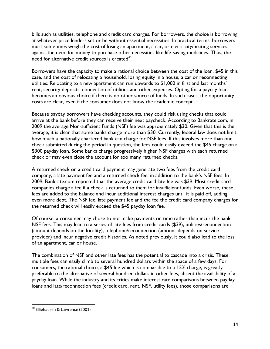bills such as utilities, telephone and credit card charges. For borrowers, the choice is borrowing at whatever price lenders set or be without essential necessities. In practical terms, borrowers must sometimes weigh the cost of losing an apartment, a car, or electricity/heating services against the need for money to purchase other necessities like life-saving medicines. Thus, the need for alternative credit sources is created $^{40}$ .

Borrowers have the capacity to make a rational choice between the cost of the loan, \$45 in this case, and the cost of relocating a household, losing equity in a house, a car or reconnecting utilities. Relocating to a new apartment can run upwards to \$1,000 in first and last months' rent, security deposits, connection of utilities and other expenses. Opting for a payday loan becomes an obvious choice if there is no other source of funds. In such cases, the opportunity costs are clear, even if the consumer does not know the academic concept.

Because payday borrowers have checking accounts, they could risk using checks that could arrive at the bank before they can receive their next paycheck. According to Bankrate.com, in 2009 the average Non-sufficient Funds (NSF) fee was approximately \$30. Given that this is the average, it is clear that some banks charge more than \$30. Currently, federal law does not limit how much a nationally chartered bank can charge for NSF fees. If this involves more than one check submitted during the period in question, the fees could easily exceed the \$45 charge on a \$300 payday loan. Some banks charge progressively higher NSF charges with each returned check or may even close the account for too many returned checks.

A returned check on a credit card payment may generate two fees from the credit card company, a late payment fee and a returned check fee, in addition to the bank's NSF fees. In 2009, Bankrate.com reported that the average credit card late fee was \$39. Most credit card companies charge a fee if a check is returned to them for insufficient funds. Even worse, these fees are added to the balance and incur additional interest charges until it is paid off, adding even more debt. The NSF fee, late payment fee and the fee the credit card company charges for the returned check will easily exceed the \$45 payday loan fee.

Of course, a consumer may chose to not make payments on time rather than incur the bank NSF fees. This may lead to a series of late fees from credit cards (\$39), utilities/reconnection (amount depends on the locality), telephone/reconnection (amount depends on service provider) and incur negative credit histories. As noted previously, it could also lead to the loss of an apartment, car or house.

The combination of NSF and other late fees has the potential to cascade into a crisis. These multiple fees can easily climb to several hundred dollars within the space of a few days. For consumers, the rational choice, a \$45 fee which is comparable to a 15% charge, is greatly preferable to the alternative of several hundred dollars in other fees, absent the availability of a payday loan. While the industry and its critics make interest rate comparisons between payday loans and late/reconnection fees (credit card, rent, NSF, utility fees), those comparisons are

l

<sup>&</sup>lt;sup>40</sup> Elliehausen & Lawrence (2001)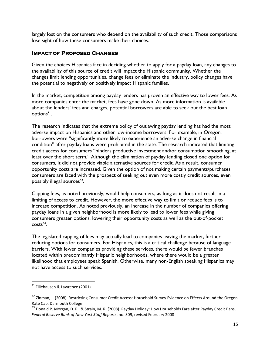largely lost on the consumers who depend on the availability of such credit. Those comparisons lose sight of how these consumers make their choices.

#### **Impact of Proposed Changes**

Given the choices Hispanics face in deciding whether to apply for a payday loan, any changes to the availability of this source of credit will impact the Hispanic community. Whether the changes limit lending opportunities, change fees or eliminate the industry, policy changes have the potential to negatively or positively impact Hispanic families.

In the market, competition among payday lenders has proven an effective way to lower fees. As more companies enter the market, fees have gone down. As more information is available about the lenders' fees and charges, potential borrowers are able to seek out the best loan options<sup>41</sup>.

The research indicates that the extreme policy of outlawing payday lending has had the most adverse impact on Hispanics and other low-income borrowers. For example, in Oregon, borrowers were "significantly more likely to experience an adverse change in financial condition" after payday loans were prohibited in the state. The research indicated that limiting credit access for consumers "hinders productive investment and/or consumption smoothing, at least over the short term." Although the elimination of payday lending closed one option for consumers, it did not provide viable alternative sources for credit. As a result, consumer opportunity costs are increased. Given the option of not making certain payments/purchases, consumers are faced with the prospect of seeking out even more costly credit sources, even possibly illegal sources $^{42}$ .

Capping fees, as noted previously, would help consumers, as long as it does not result in a limiting of access to credit. However, the more effective way to limit or reduce fees is to increase competition. As noted previously, an increase in the number of companies offering payday loans in a given neighborhood is more likely to lead to lower fees while giving consumers greater options, lowering their opportunity costs as well as the out-of-pocket  $costs<sup>43</sup>$ .

The legislated capping of fees may actually lead to companies leaving the market, further reducing options for consumers. For Hispanics, this is a critical challenge because of language barriers. With fewer companies providing these services, there would be fewer branches located within predominantly Hispanic neighborhoods, where there would be a greater likelihood that employees speak Spanish. Otherwise, many non-English speaking Hispanics may not have access to such services.

<sup>&</sup>lt;sup>41</sup> Elliehausen & Lawrence (2001)

<sup>&</sup>lt;sup>42</sup> Zinman, J. (2008). Restricting Consumer Credit Access: Household Survey Evidence on Effects Around the Oregon Rate Cap. Darmouth College

<sup>&</sup>lt;sup>43</sup> Donald P. Morgan, D. P., & Strain, M. R. (2008). Payday Holiday: How Households Fare after Payday Credit Bans. *Federal Reserve Bank of New York Staff Reports*, no. 309, revised February 2008